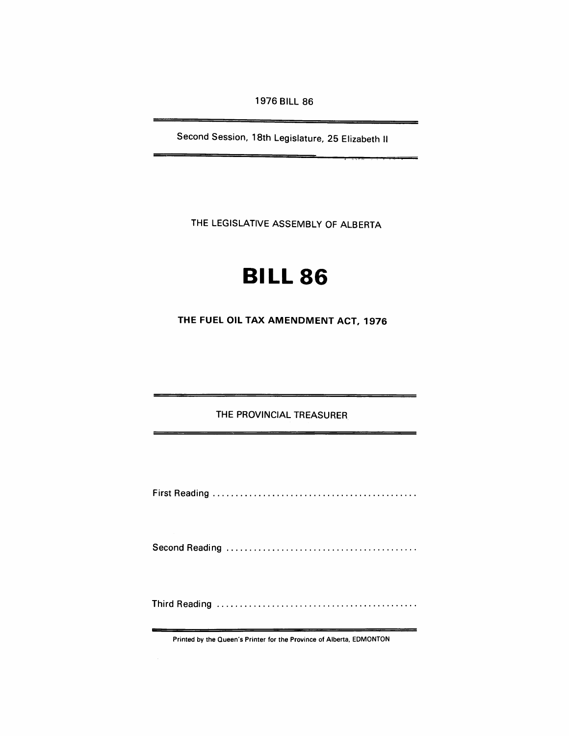1976 BILL 86

Second Session, 18th Legislature, 25 Elizabeth II

 $\overline{\mathbf{u}}$  .  $\overline{\mathbf{u}}$  ,  $\overline{\mathbf{u}}$  ,  $\overline{\mathbf{v}}$  ,  $\overline{\mathbf{u}}$ 

THE LEGISLATIVE ASSEMBLY OF ALBERTA

## **BILL 86**

THE FUEL Oil TAX AMENDMENT ACT, 1976

THE PROVINCIAL TREASURER

First Reading ............................................ .

Second Readi ng ......................................... .

Third Reading ........................................... .

Printed by the Queen's Printer for the Province of Alberta, EDMONTON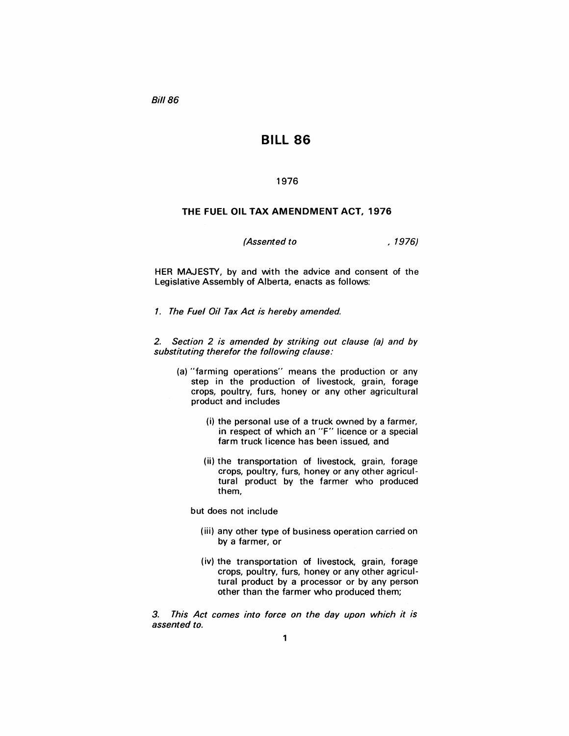Bill 86

## Bill 86

## 1976

## THE FUEL OIL TAX AMENDMENT ACT, 1976

(*Assented to* , 1976)

HER MAJESTY, by and with the advice and consent of the Legislative Assembly of Alberta, enacts as follows:

1. The Fuel Oil Tax Act is hereby amended.

2. Section 2 is amended by striking out clause (a) and by substituting therefor the following clause:

- (a) "farming operations" means the production or any step in the production of livestock, grain, forage crops, poultry, furs, honey or any other agricultural product and includes
	- (i) the personal use of a truck owned by a farmer, in respect of which an "F" licence or a special farm truck licence has been issued, and
	- (ii) the transportation of livestock, grain, forage crops, poultry, furs, honey or any other agricultural product by the farmer who produced them,

but does not include

- (iii) any other type of business operation carried on by a farmer, or
- (iv) the transportation of livestock, grain, forage crops, poultry, furs, honey or any other agricultural product by a processor or by any person other than the farmer who produced them;

3. This Act comes into force on the day upon which it is assented to.